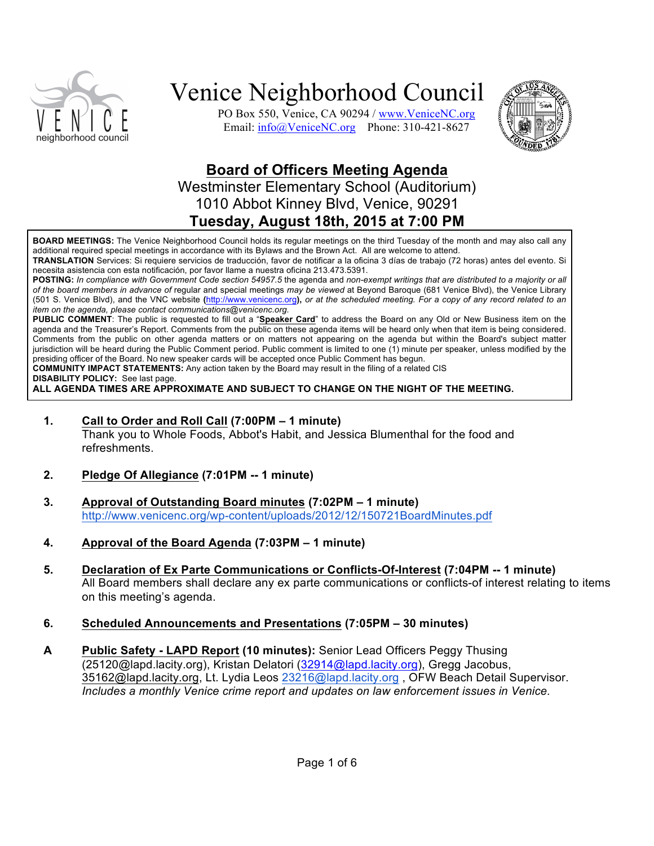

PO Box 550, Venice, CA 90294 / www.VeniceNC.org Email: info@VeniceNC.org Phone: 310-421-8627



### **Board of Officers Meeting Agenda**

Westminster Elementary School (Auditorium) 1010 Abbot Kinney Blvd, Venice, 90291 **Tuesday, August 18th, 2015 at 7:00 PM**

**BOARD MEETINGS:** The Venice Neighborhood Council holds its regular meetings on the third Tuesday of the month and may also call any additional required special meetings in accordance with its Bylaws and the Brown Act. All are welcome to attend.

**TRANSLATION** Services: Si requiere servicios de traducción, favor de notificar a la oficina 3 días de trabajo (72 horas) antes del evento. Si necesita asistencia con esta notificación, por favor llame a nuestra oficina 213.473.5391.

**POSTING:** *In compliance with Government Code section 54957.5* the agenda and *non-exempt writings that are distributed to a majority or all of the board members in advance of* regular and special meetings *may be viewed* at Beyond Baroque (681 Venice Blvd), the Venice Library (501 S. Venice Blvd), and the VNC website **(**http://www.venicenc.org**),** *or at the scheduled meeting. For a copy of any record related to an item on the agenda, please contact communications@venicenc.org.*

**PUBLIC COMMENT**: The public is requested to fill out a "**Speaker Card**" to address the Board on any Old or New Business item on the agenda and the Treasurer's Report. Comments from the public on these agenda items will be heard only when that item is being considered. Comments from the public on other agenda matters or on matters not appearing on the agenda but within the Board's subject matter jurisdiction will be heard during the Public Comment period. Public comment is limited to one (1) minute per speaker, unless modified by the presiding officer of the Board. No new speaker cards will be accepted once Public Comment has begun.

**COMMUNITY IMPACT STATEMENTS:** Any action taken by the Board may result in the filing of a related CIS

**DISABILITY POLICY:** See last page.

**ALL AGENDA TIMES ARE APPROXIMATE AND SUBJECT TO CHANGE ON THE NIGHT OF THE MEETING.**

**1. Call to Order and Roll Call (7:00PM – 1 minute)**

Thank you to Whole Foods, Abbot's Habit, and Jessica Blumenthal for the food and refreshments.

- **2. Pledge Of Allegiance (7:01PM -- 1 minute)**
- **3. Approval of Outstanding Board minutes (7:02PM – 1 minute)** http://www.venicenc.org/wp-content/uploads/2012/12/150721BoardMinutes.pdf
- **4. Approval of the Board Agenda (7:03PM – 1 minute)**
- **5. Declaration of Ex Parte Communications or Conflicts-Of-Interest (7:04PM -- 1 minute)**  All Board members shall declare any ex parte communications or conflicts-of interest relating to items on this meeting's agenda.
- **6. Scheduled Announcements and Presentations (7:05PM – 30 minutes)**
- **A Public Safety - LAPD Report (10 minutes):** Senior Lead Officers Peggy Thusing (25120@lapd.lacity.org), Kristan Delatori (32914@lapd.lacity.org), Gregg Jacobus, 35162@lapd.lacity.org, Lt. Lydia Leos 23216@lapd.lacity.org , OFW Beach Detail Supervisor. *Includes a monthly Venice crime report and updates on law enforcement issues in Venice.*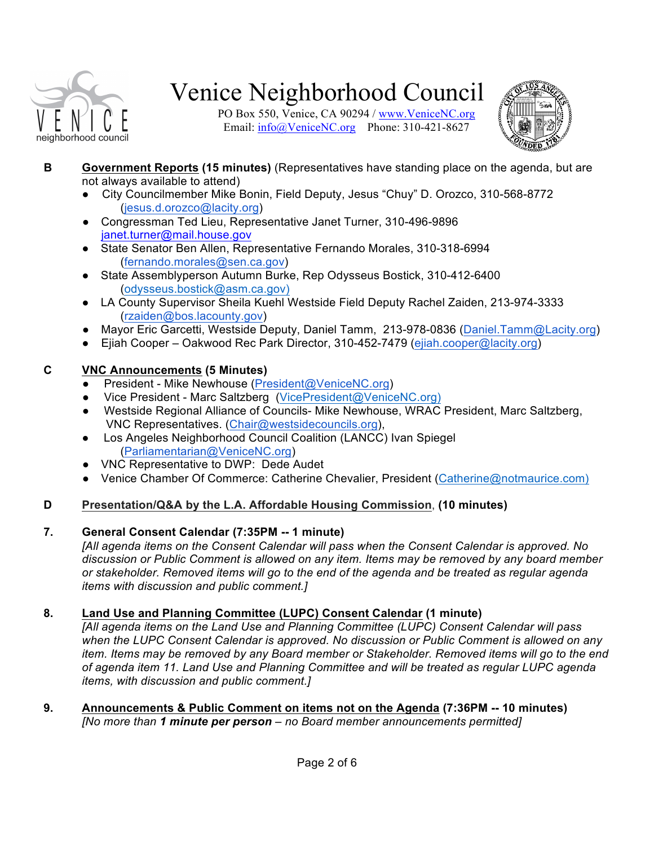

PO Box 550, Venice, CA 90294 / www.VeniceNC.org Email: info@VeniceNC.org Phone: 310-421-8627



- **B Government Reports (15 minutes)** (Representatives have standing place on the agenda, but are not always available to attend)
	- City Councilmember Mike Bonin, Field Deputy, Jesus "Chuy" D. Orozco, 310-568-8772 (jesus.d.orozco@lacity.org)
	- Congressman Ted Lieu, Representative Janet Turner, 310-496-9896 janet.turner@mail.house.gov
	- State Senator Ben Allen, Representative Fernando Morales, 310-318-6994 (fernando.morales@sen.ca.gov)
	- State Assemblyperson Autumn Burke, Rep Odysseus Bostick, 310-412-6400 (odysseus.bostick@asm.ca.gov)
	- LA County Supervisor Sheila Kuehl Westside Field Deputy Rachel Zaiden, 213-974-3333 (rzaiden@bos.lacounty.gov)
	- Mayor Eric Garcetti, Westside Deputy, Daniel Tamm, 213-978-0836 (Daniel.Tamm@Lacity.org)
	- Ejiah Cooper Oakwood Rec Park Director, 310-452-7479 (ejiah.cooper@lacity.org)

### **C VNC Announcements (5 Minutes)**

- President Mike Newhouse (President@VeniceNC.org)
- Vice President Marc Saltzberg (VicePresident@VeniceNC.org)
- Westside Regional Alliance of Councils- Mike Newhouse, WRAC President, Marc Saltzberg, VNC Representatives. (Chair@westsidecouncils.org),
- Los Angeles Neighborhood Council Coalition (LANCC) Ivan Spiegel (Parliamentarian@VeniceNC.org)
- VNC Representative to DWP: Dede Audet
- Venice Chamber Of Commerce: Catherine Chevalier, President (Catherine@notmaurice.com)

### **D Presentation/Q&A by the L.A. Affordable Housing Commission**, **(10 minutes)**

### **7. General Consent Calendar (7:35PM -- 1 minute)**

*[All agenda items on the Consent Calendar will pass when the Consent Calendar is approved. No discussion or Public Comment is allowed on any item. Items may be removed by any board member or stakeholder. Removed items will go to the end of the agenda and be treated as regular agenda items with discussion and public comment.]*

### **8. Land Use and Planning Committee (LUPC) Consent Calendar (1 minute)**

*[All agenda items on the Land Use and Planning Committee (LUPC) Consent Calendar will pass when the LUPC Consent Calendar is approved. No discussion or Public Comment is allowed on any item. Items may be removed by any Board member or Stakeholder. Removed items will go to the end of agenda item 11. Land Use and Planning Committee and will be treated as regular LUPC agenda items, with discussion and public comment.]*

**9. Announcements & Public Comment on items not on the Agenda (7:36PM -- 10 minutes)** *[No more than 1 minute per person – no Board member announcements permitted]*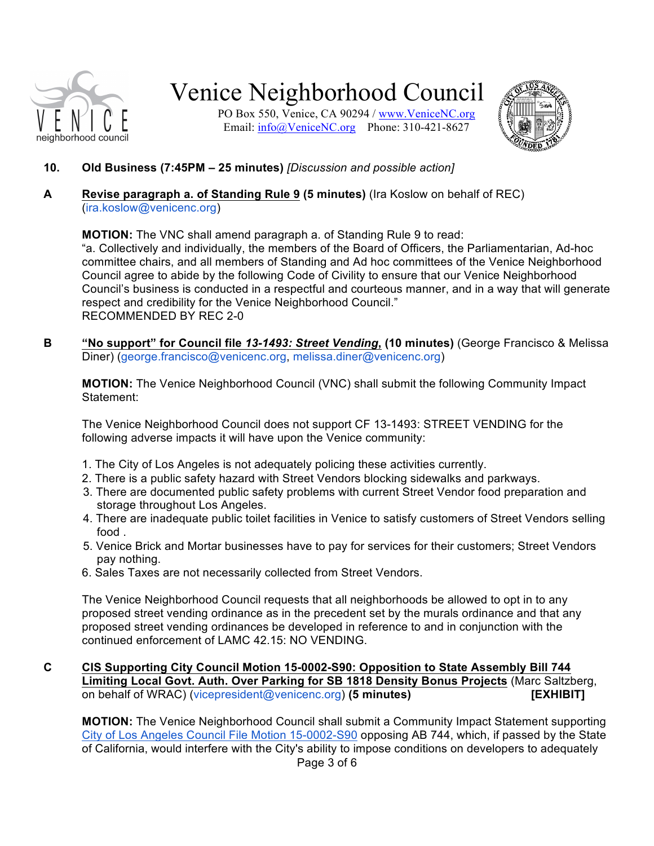

PO Box 550, Venice, CA 90294 / www.VeniceNC.org Email: info@VeniceNC.org Phone: 310-421-8627



- **10. Old Business (7:45PM – 25 minutes)** *[Discussion and possible action]*
- **A Revise paragraph a. of Standing Rule 9 (5 minutes)** (Ira Koslow on behalf of REC) (ira.koslow@venicenc.org)

**MOTION:** The VNC shall amend paragraph a. of Standing Rule 9 to read:

"a. Collectively and individually, the members of the Board of Officers, the Parliamentarian, Ad-hoc committee chairs, and all members of Standing and Ad hoc committees of the Venice Neighborhood Council agree to abide by the following Code of Civility to ensure that our Venice Neighborhood Council's business is conducted in a respectful and courteous manner, and in a way that will generate respect and credibility for the Venice Neighborhood Council." RECOMMENDED BY REC 2-0

**B "No support" for Council file** *13-1493: Street Vending***, (10 minutes)** (George Francisco & Melissa Diner) (george.francisco@venicenc.org, melissa.diner@venicenc.org)

**MOTION:** The Venice Neighborhood Council (VNC) shall submit the following Community Impact Statement:

The Venice Neighborhood Council does not support CF 13-1493: STREET VENDING for the following adverse impacts it will have upon the Venice community:

- 1. The City of Los Angeles is not adequately policing these activities currently.
- 2. There is a public safety hazard with Street Vendors blocking sidewalks and parkways.
- 3. There are documented public safety problems with current Street Vendor food preparation and storage throughout Los Angeles.
- 4. There are inadequate public toilet facilities in Venice to satisfy customers of Street Vendors selling food .
- 5. Venice Brick and Mortar businesses have to pay for services for their customers; Street Vendors pay nothing.
- 6. Sales Taxes are not necessarily collected from Street Vendors.

The Venice Neighborhood Council requests that all neighborhoods be allowed to opt in to any proposed street vending ordinance as in the precedent set by the murals ordinance and that any proposed street vending ordinances be developed in reference to and in conjunction with the continued enforcement of LAMC 42.15: NO VENDING.

#### **C CIS Supporting City Council Motion 15-0002-S90: Opposition to State Assembly Bill 744 Limiting Local Govt. Auth. Over Parking for SB 1818 Density Bonus Projects** (Marc Saltzberg, on behalf of WRAC) (vicepresident@venicenc.org) **(5 minutes) [EXHIBIT]**

Page 3 of 6 **MOTION:** The Venice Neighborhood Council shall submit a Community Impact Statement supporting City of Los Angeles Council File Motion 15-0002-S90 opposing AB 744, which, if passed by the State of California, would interfere with the City's ability to impose conditions on developers to adequately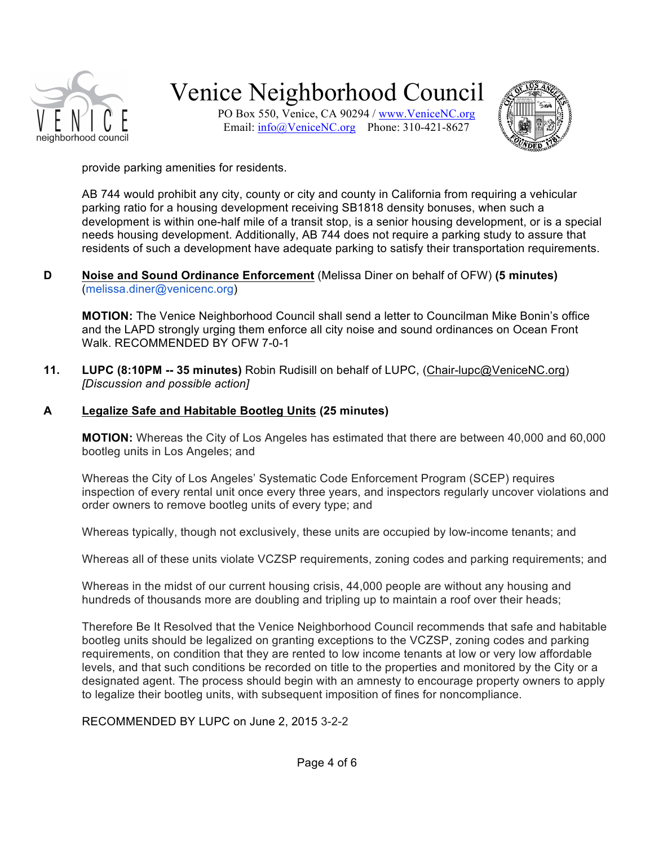

PO Box 550, Venice, CA 90294 / www.VeniceNC.org Email: info@VeniceNC.org Phone: 310-421-8627



provide parking amenities for residents.

AB 744 would prohibit any city, county or city and county in California from requiring a vehicular parking ratio for a housing development receiving SB1818 density bonuses, when such a development is within one-half mile of a transit stop, is a senior housing development, or is a special needs housing development. Additionally, AB 744 does not require a parking study to assure that residents of such a development have adequate parking to satisfy their transportation requirements.

#### **D Noise and Sound Ordinance Enforcement** (Melissa Diner on behalf of OFW) **(5 minutes)** (melissa.diner@venicenc.org)

**MOTION:** The Venice Neighborhood Council shall send a letter to Councilman Mike Bonin's office and the LAPD strongly urging them enforce all city noise and sound ordinances on Ocean Front Walk. RECOMMENDED BY OFW 7-0-1

**11. LUPC (8:10PM -- 35 minutes)** Robin Rudisill on behalf of LUPC, (Chair-lupc@VeniceNC.org) *[Discussion and possible action]*

#### **A Legalize Safe and Habitable Bootleg Units (25 minutes)**

**MOTION:** Whereas the City of Los Angeles has estimated that there are between 40,000 and 60,000 bootleg units in Los Angeles; and

Whereas the City of Los Angeles' Systematic Code Enforcement Program (SCEP) requires inspection of every rental unit once every three years, and inspectors regularly uncover violations and order owners to remove bootleg units of every type; and

Whereas typically, though not exclusively, these units are occupied by low-income tenants; and

Whereas all of these units violate VCZSP requirements, zoning codes and parking requirements; and

Whereas in the midst of our current housing crisis, 44,000 people are without any housing and hundreds of thousands more are doubling and tripling up to maintain a roof over their heads;

Therefore Be It Resolved that the Venice Neighborhood Council recommends that safe and habitable bootleg units should be legalized on granting exceptions to the VCZSP, zoning codes and parking requirements, on condition that they are rented to low income tenants at low or very low affordable levels, and that such conditions be recorded on title to the properties and monitored by the City or a designated agent. The process should begin with an amnesty to encourage property owners to apply to legalize their bootleg units, with subsequent imposition of fines for noncompliance.

RECOMMENDED BY LUPC on June 2, 2015 3-2-2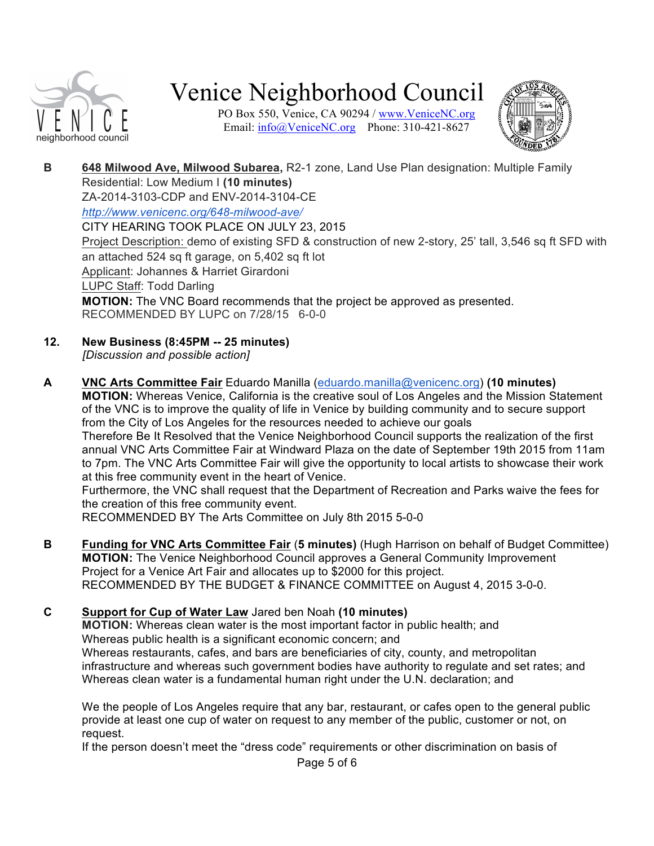![](_page_4_Picture_0.jpeg)

PO Box 550, Venice, CA 90294 / www.VeniceNC.org Email: info@VeniceNC.org Phone: 310-421-8627

![](_page_4_Picture_3.jpeg)

**B 648 Milwood Ave, Milwood Subarea,** R2-1 zone, Land Use Plan designation: Multiple Family Residential: Low Medium I **(10 minutes)** ZA-2014-3103-CDP and ENV-2014-3104-CE

*http://www.venicenc.org/648-milwood-ave/* CITY HEARING TOOK PLACE ON JULY 23, 2015 Project Description: demo of existing SFD & construction of new 2-story, 25' tall, 3,546 sq ft SFD with an attached 524 sq ft garage, on 5,402 sq ft lot Applicant: Johannes & Harriet Girardoni LUPC Staff: Todd Darling **MOTION:** The VNC Board recommends that the project be approved as presented. RECOMMENDED BY LUPC on 7/28/15 6-0-0

- **12. New Business (8:45PM -- 25 minutes)** *[Discussion and possible action]*
- **A VNC Arts Committee Fair** Eduardo Manilla (eduardo.manilla@venicenc.org) **(10 minutes) MOTION:** Whereas Venice, California is the creative soul of Los Angeles and the Mission Statement of the VNC is to improve the quality of life in Venice by building community and to secure support from the City of Los Angeles for the resources needed to achieve our goals Therefore Be It Resolved that the Venice Neighborhood Council supports the realization of the first annual VNC Arts Committee Fair at Windward Plaza on the date of September 19th 2015 from 11am to 7pm. The VNC Arts Committee Fair will give the opportunity to local artists to showcase their work at this free community event in the heart of Venice. Furthermore, the VNC shall request that the Department of Recreation and Parks waive the fees for the creation of this free community event.

RECOMMENDED BY The Arts Committee on July 8th 2015 5-0-0

**B Funding for VNC Arts Committee Fair** (**5 minutes)** (Hugh Harrison on behalf of Budget Committee) **MOTION:** The Venice Neighborhood Council approves a General Community Improvement Project for a Venice Art Fair and allocates up to \$2000 for this project. RECOMMENDED BY THE BUDGET & FINANCE COMMITTEE on August 4, 2015 3-0-0.

**C Support for Cup of Water Law** Jared ben Noah **(10 minutes) MOTION:** Whereas clean water is the most important factor in public health; and Whereas public health is a significant economic concern; and Whereas restaurants, cafes, and bars are beneficiaries of city, county, and metropolitan infrastructure and whereas such government bodies have authority to regulate and set rates; and Whereas clean water is a fundamental human right under the U.N. declaration; and

We the people of Los Angeles require that any bar, restaurant, or cafes open to the general public provide at least one cup of water on request to any member of the public, customer or not, on request.

If the person doesn't meet the "dress code" requirements or other discrimination on basis of